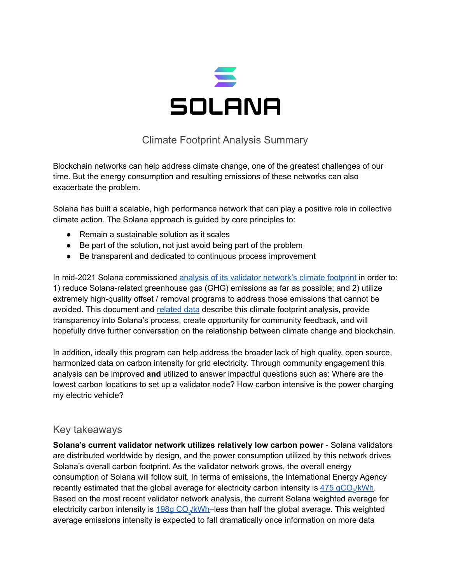

## Climate Footprint Analysis Summary

Blockchain networks can help address climate change, one of the greatest challenges of our time. But the energy consumption and resulting emissions of these networks can also exacerbate the problem.

Solana has built a scalable, high performance network that can play a positive role in collective climate action. The Solana approach is guided by core principles to:

- Remain a sustainable solution as it scales
- Be part of the solution, not just avoid being part of the problem
- Be transparent and dedicated to continuous process improvement

In mid-2021 Solana commissioned analysis of its validator [network's](https://docs.google.com/spreadsheets/d/1JugsJuQW82LK_OjhcSCiEqvTneREimmT0j_SXh_f3sA/edit?usp=sharing) climate footprint in order to: 1) reduce Solana-related greenhouse gas (GHG) emissions as far as possible; and 2) utilize extremely high-quality offset / removal programs to address those emissions that cannot be avoided. This document and [related](https://docs.google.com/spreadsheets/d/1JugsJuQW82LK_OjhcSCiEqvTneREimmT0j_SXh_f3sA/edit?usp=sharing) data describe this climate footprint analysis, provide transparency into Solana's process, create opportunity for community feedback, and will hopefully drive further conversation on the relationship between climate change and blockchain.

In addition, ideally this program can help address the broader lack of high quality, open source, harmonized data on carbon intensity for grid electricity. Through community engagement this analysis can be improved **and** utilized to answer impactful questions such as: Where are the lowest carbon locations to set up a validator node? How carbon intensive is the power charging my electric vehicle?

## Key takeaways

**Solana's current validator network utilizes relatively low carbon power** - Solana validators are distributed worldwide by design, and the power consumption utilized by this network drives Solana's overall carbon footprint. As the validator network grows, the overall energy consumption of Solana will follow suit. In terms of emissions, the International Energy Agency recently estimated that the global average for electricity carbon intensity is  $475 \text{ gCO}_2/\text{kWh}$ . Based on the most recent validator network analysis, the current Solana weighted average for electricity carbon intensity is <u>198g CO<sub>2</sub>/kWh</u>–less than half the global average. This weighted average emissions intensity is expected to fall dramatically once information on more data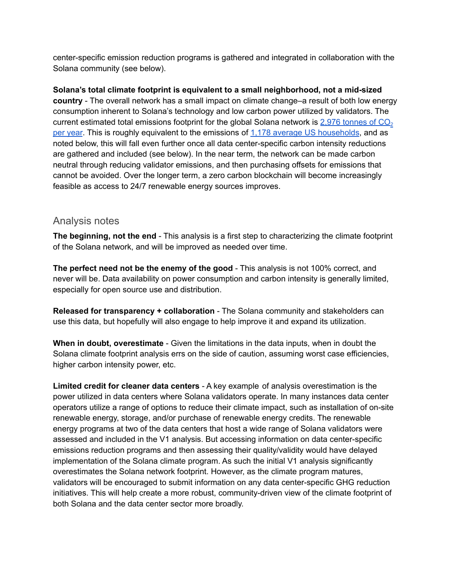center-specific emission reduction programs is gathered and integrated in collaboration with the Solana community (see below).

**Solana's total climate footprint is equivalent to a small neighborhood, not a mid-sized country** - The overall network has a small impact on climate change–a result of both low energy consumption inherent to Solana's technology and low carbon power utilized by validators. The current estimated total emissions footprint for the global Solana network is  $2.976$  [tonnes](https://docs.google.com/spreadsheets/d/1JugsJuQW82LK_OjhcSCiEqvTneREimmT0j_SXh_f3sA/edit?usp=sharing) of  $CO<sub>2</sub>$ per [year](https://docs.google.com/spreadsheets/d/1JugsJuQW82LK_OjhcSCiEqvTneREimmT0j_SXh_f3sA/edit?usp=sharing). This is roughly equivalent to the emissions of 1,178 average US [households](https://docs.google.com/spreadsheets/d/1JugsJuQW82LK_OjhcSCiEqvTneREimmT0j_SXh_f3sA/edit?usp=sharing), and as noted below, this will fall even further once all data center-specific carbon intensity reductions are gathered and included (see below). In the near term, the network can be made carbon neutral through reducing validator emissions, and then purchasing offsets for emissions that cannot be avoided. Over the longer term, a zero carbon blockchain will become increasingly feasible as access to 24/7 renewable energy sources improves.

## Analysis notes

**The beginning, not the end** - This analysis is a first step to characterizing the climate footprint of the Solana network, and will be improved as needed over time.

**The perfect need not be the enemy of the good** - This analysis is not 100% correct, and never will be. Data availability on power consumption and carbon intensity is generally limited, especially for open source use and distribution.

**Released for transparency + collaboration** - The Solana community and stakeholders can use this data, but hopefully will also engage to help improve it and expand its utilization.

**When in doubt, overestimate** - Given the limitations in the data inputs, when in doubt the Solana climate footprint analysis errs on the side of caution, assuming worst case efficiencies, higher carbon intensity power, etc.

**Limited credit for cleaner data centers** - A key example of analysis overestimation is the power utilized in data centers where Solana validators operate. In many instances data center operators utilize a range of options to reduce their climate impact, such as installation of on-site renewable energy, storage, and/or purchase of renewable energy credits. The renewable energy programs at two of the data centers that host a wide range of Solana validators were assessed and included in the V1 analysis. But accessing information on data center-specific emissions reduction programs and then assessing their quality/validity would have delayed implementation of the Solana climate program. As such the initial V1 analysis significantly overestimates the Solana network footprint. However, as the climate program matures, validators will be encouraged to submit information on any data center-specific GHG reduction initiatives. This will help create a more robust, community-driven view of the climate footprint of both Solana and the data center sector more broadly.